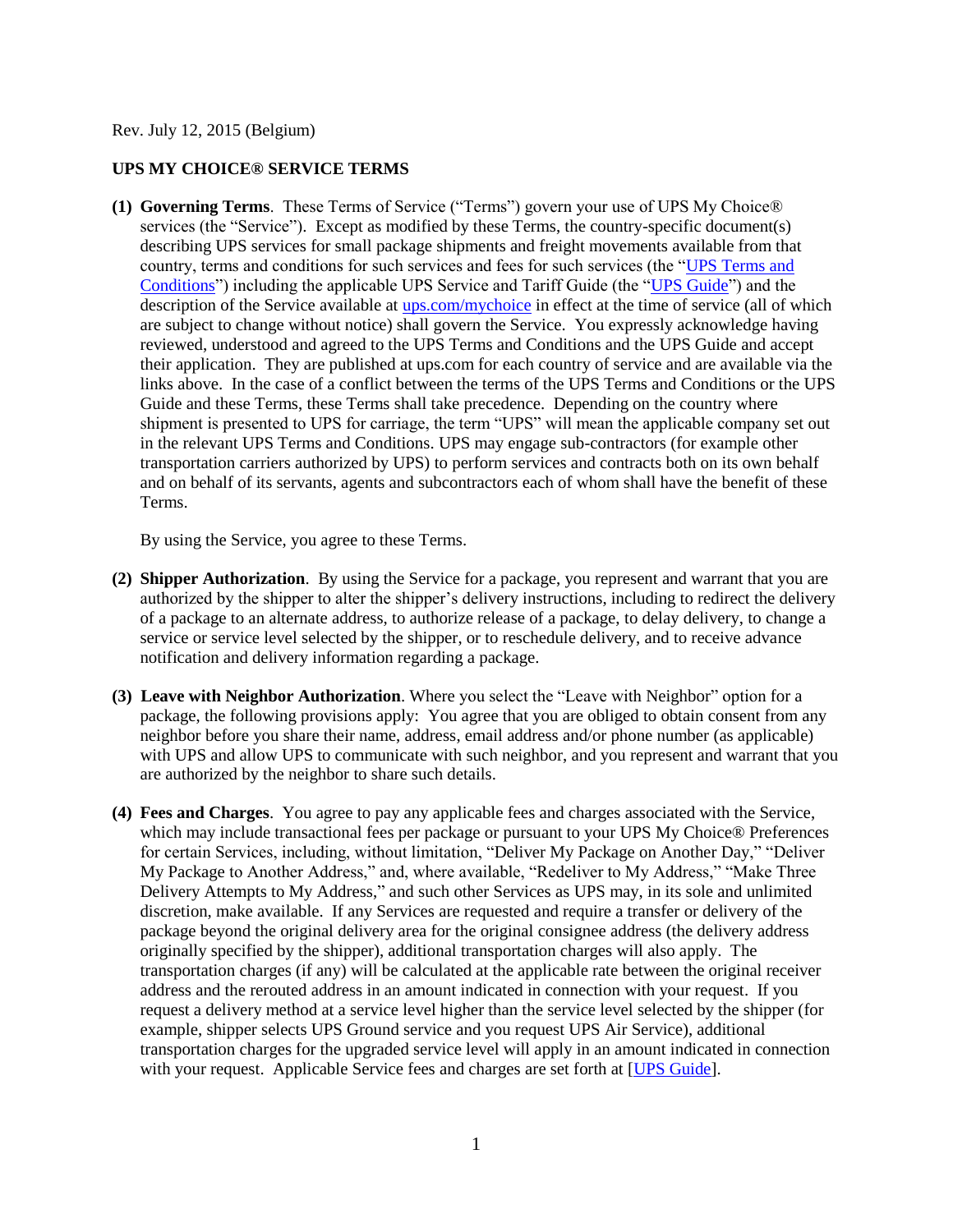Rev. July 12, 2015 (Belgium)

## **UPS MY CHOICE® SERVICE TERMS**

**(1) Governing Terms**. These Terms of Service ("Terms") govern your use of UPS My Choice® services (the "Service"). Except as modified by these Terms, the country-specific document(s) describing UPS services for small package shipments and freight movements available from that country, terms and conditions for such services and fees for such services (the ["UPS Terms and](http://www.ups.com/content/be/en/resources/ship/terms/shipping/index.html?WT.svl=Footer)  [Conditions"](http://www.ups.com/content/be/en/resources/ship/terms/shipping/index.html?WT.svl=Footer)) including the applicable UPS Service and Tariff Guide (the ["UPS Guide"](http://www.ups.com/content/be/en/shipping/cost/zones/index.html)) and the description of the Service available at [ups.com/mychoice](http://www.ups.com/content/be/en/tracking/ups_mychoice.html) in effect at the time of service (all of which are subject to change without notice) shall govern the Service. You expressly acknowledge having reviewed, understood and agreed to the UPS Terms and Conditions and the UPS Guide and accept their application. They are published at ups.com for each country of service and are available via the links above. In the case of a conflict between the terms of the UPS Terms and Conditions or the UPS Guide and these Terms, these Terms shall take precedence. Depending on the country where shipment is presented to UPS for carriage, the term "UPS" will mean the applicable company set out in the relevant UPS Terms and Conditions. UPS may engage sub-contractors (for example other transportation carriers authorized by UPS) to perform services and contracts both on its own behalf and on behalf of its servants, agents and subcontractors each of whom shall have the benefit of these Terms.

By using the Service, you agree to these Terms.

- **(2) Shipper Authorization**. By using the Service for a package, you represent and warrant that you are authorized by the shipper to alter the shipper's delivery instructions, including to redirect the delivery of a package to an alternate address, to authorize release of a package, to delay delivery, to change a service or service level selected by the shipper, or to reschedule delivery, and to receive advance notification and delivery information regarding a package.
- **(3) Leave with Neighbor Authorization**. Where you select the "Leave with Neighbor" option for a package, the following provisions apply: You agree that you are obliged to obtain consent from any neighbor before you share their name, address, email address and/or phone number (as applicable) with UPS and allow UPS to communicate with such neighbor, and you represent and warrant that you are authorized by the neighbor to share such details.
- **(4) Fees and Charges**. You agree to pay any applicable fees and charges associated with the Service, which may include transactional fees per package or pursuant to your UPS My Choice<sup>®</sup> Preferences for certain Services, including, without limitation, "Deliver My Package on Another Day," "Deliver My Package to Another Address," and, where available, "Redeliver to My Address," "Make Three Delivery Attempts to My Address," and such other Services as UPS may, in its sole and unlimited discretion, make available. If any Services are requested and require a transfer or delivery of the package beyond the original delivery area for the original consignee address (the delivery address originally specified by the shipper), additional transportation charges will also apply. The transportation charges (if any) will be calculated at the applicable rate between the original receiver address and the rerouted address in an amount indicated in connection with your request. If you request a delivery method at a service level higher than the service level selected by the shipper (for example, shipper selects UPS Ground service and you request UPS Air Service), additional transportation charges for the upgraded service level will apply in an amount indicated in connection with your request. Applicable Service fees and charges are set forth at [\[UPS Guide\]](http://www.ups.com/content/be/en/shipping/cost/zones/index.html).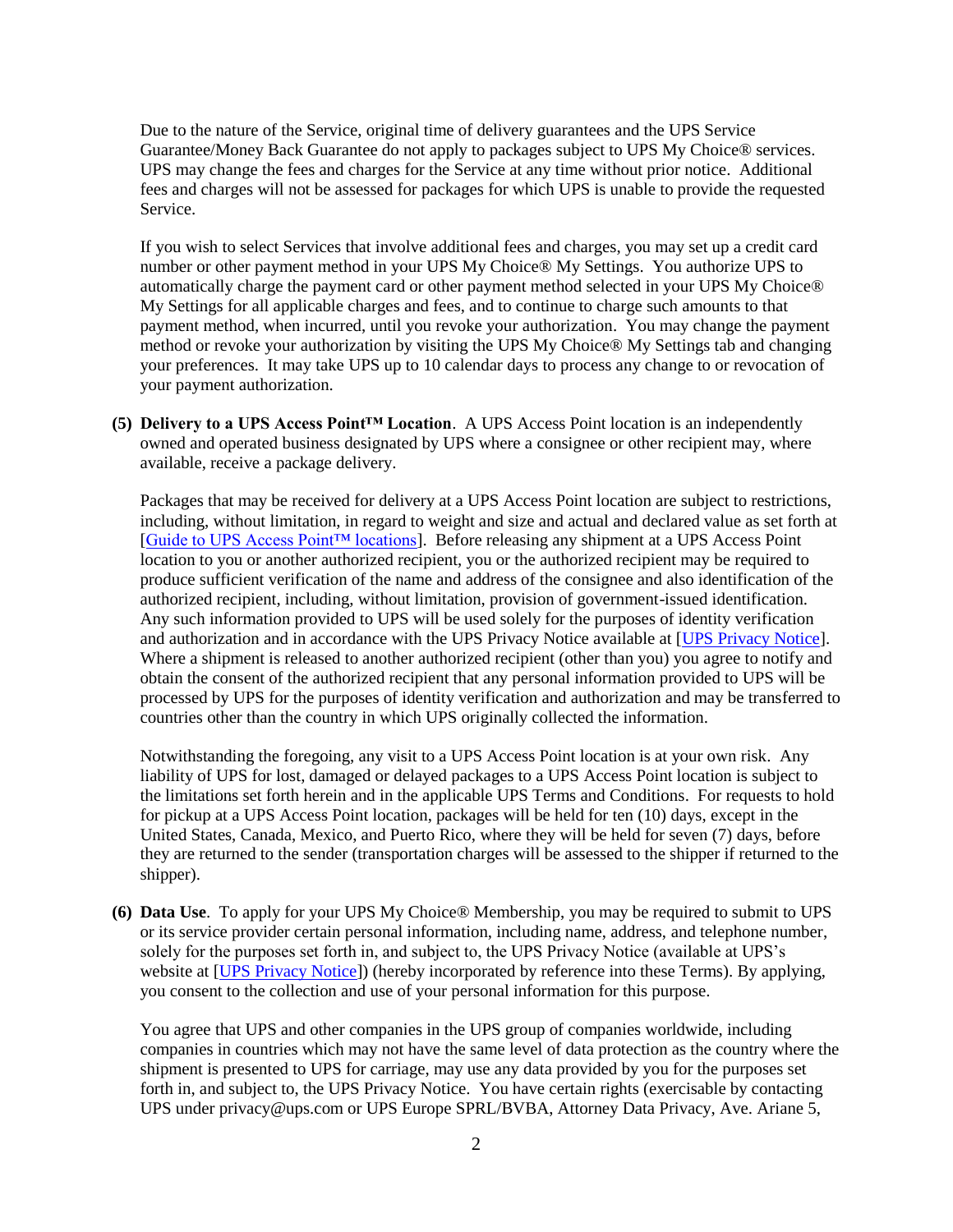Due to the nature of the Service, original time of delivery guarantees and the UPS Service Guarantee/Money Back Guarantee do not apply to packages subject to UPS My Choice® services. UPS may change the fees and charges for the Service at any time without prior notice. Additional fees and charges will not be assessed for packages for which UPS is unable to provide the requested Service.

If you wish to select Services that involve additional fees and charges, you may set up a credit card number or other payment method in your UPS My Choice® My Settings. You authorize UPS to automatically charge the payment card or other payment method selected in your UPS My Choice® My Settings for all applicable charges and fees, and to continue to charge such amounts to that payment method, when incurred, until you revoke your authorization. You may change the payment method or revoke your authorization by visiting the UPS My Choice® My Settings tab and changing your preferences. It may take UPS up to 10 calendar days to process any change to or revocation of your payment authorization.

**(5) Delivery to a UPS Access Point™ Location**. A UPS Access Point location is an independently owned and operated business designated by UPS where a consignee or other recipient may, where available, receive a package delivery.

Packages that may be received for delivery at a UPS Access Point location are subject to restrictions, including, without limitation, in regard to weight and size and actual and declared value as set forth at [\[Guide to UPS Access Point™ locations\]](http://www.ups.com/accesspoint/). Before releasing any shipment at a UPS Access Point location to you or another authorized recipient, you or the authorized recipient may be required to produce sufficient verification of the name and address of the consignee and also identification of the authorized recipient, including, without limitation, provision of government-issued identification. Any such information provided to UPS will be used solely for the purposes of identity verification and authorization and in accordance with the UPS Privacy Notice available at [\[UPS Privacy Notice\]](http://www.ups.com/content/be/en/resources/ship/terms/privacy.html). Where a shipment is released to another authorized recipient (other than you) you agree to notify and obtain the consent of the authorized recipient that any personal information provided to UPS will be processed by UPS for the purposes of identity verification and authorization and may be transferred to countries other than the country in which UPS originally collected the information.

Notwithstanding the foregoing, any visit to a UPS Access Point location is at your own risk. Any liability of UPS for lost, damaged or delayed packages to a UPS Access Point location is subject to the limitations set forth herein and in the applicable UPS Terms and Conditions. For requests to hold for pickup at a UPS Access Point location, packages will be held for ten (10) days, except in the United States, Canada, Mexico, and Puerto Rico, where they will be held for seven (7) days, before they are returned to the sender (transportation charges will be assessed to the shipper if returned to the shipper).

**(6) Data Use**. To apply for your UPS My Choice® Membership, you may be required to submit to UPS or its service provider certain personal information, including name, address, and telephone number, solely for the purposes set forth in, and subject to, the UPS Privacy Notice (available at UPS's website at [\[UPS Privacy Notice\]](http://www.ups.com/content/be/en/resources/ship/terms/privacy.html)) (hereby incorporated by reference into these Terms). By applying, you consent to the collection and use of your personal information for this purpose.

You agree that UPS and other companies in the UPS group of companies worldwide, including companies in countries which may not have the same level of data protection as the country where the shipment is presented to UPS for carriage, may use any data provided by you for the purposes set forth in, and subject to, the UPS Privacy Notice. You have certain rights (exercisable by contacting UPS under privacy@ups.com or UPS Europe SPRL/BVBA, Attorney Data Privacy, Ave. Ariane 5,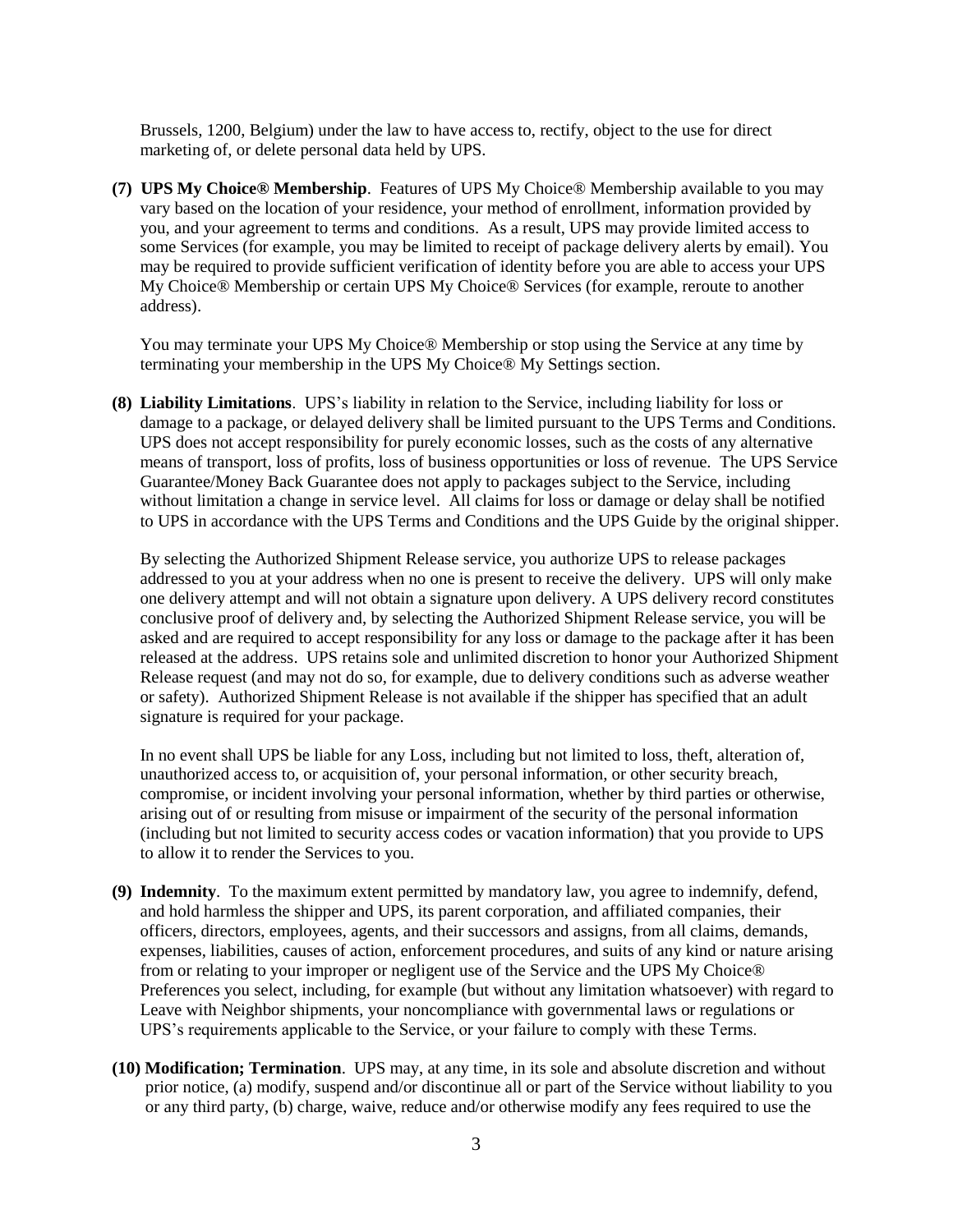Brussels, 1200, Belgium) under the law to have access to, rectify, object to the use for direct marketing of, or delete personal data held by UPS.

**(7) UPS My Choice® Membership**. Features of UPS My Choice® Membership available to you may vary based on the location of your residence, your method of enrollment, information provided by you, and your agreement to terms and conditions. As a result, UPS may provide limited access to some Services (for example, you may be limited to receipt of package delivery alerts by email). You may be required to provide sufficient verification of identity before you are able to access your UPS My Choice® Membership or certain UPS My Choice® Services (for example, reroute to another address).

You may terminate your UPS My Choice® Membership or stop using the Service at any time by terminating your membership in the UPS My Choice® My Settings section.

**(8) Liability Limitations**. UPS's liability in relation to the Service, including liability for loss or damage to a package, or delayed delivery shall be limited pursuant to the UPS Terms and Conditions. UPS does not accept responsibility for purely economic losses, such as the costs of any alternative means of transport, loss of profits, loss of business opportunities or loss of revenue. The UPS Service Guarantee/Money Back Guarantee does not apply to packages subject to the Service, including without limitation a change in service level. All claims for loss or damage or delay shall be notified to UPS in accordance with the UPS Terms and Conditions and the UPS Guide by the original shipper.

By selecting the Authorized Shipment Release service, you authorize UPS to release packages addressed to you at your address when no one is present to receive the delivery. UPS will only make one delivery attempt and will not obtain a signature upon delivery. A UPS delivery record constitutes conclusive proof of delivery and, by selecting the Authorized Shipment Release service, you will be asked and are required to accept responsibility for any loss or damage to the package after it has been released at the address. UPS retains sole and unlimited discretion to honor your Authorized Shipment Release request (and may not do so, for example, due to delivery conditions such as adverse weather or safety). Authorized Shipment Release is not available if the shipper has specified that an adult signature is required for your package.

In no event shall UPS be liable for any Loss, including but not limited to loss, theft, alteration of, unauthorized access to, or acquisition of, your personal information, or other security breach, compromise, or incident involving your personal information, whether by third parties or otherwise, arising out of or resulting from misuse or impairment of the security of the personal information (including but not limited to security access codes or vacation information) that you provide to UPS to allow it to render the Services to you.

- **(9) Indemnity**. To the maximum extent permitted by mandatory law, you agree to indemnify, defend, and hold harmless the shipper and UPS, its parent corporation, and affiliated companies, their officers, directors, employees, agents, and their successors and assigns, from all claims, demands, expenses, liabilities, causes of action, enforcement procedures, and suits of any kind or nature arising from or relating to your improper or negligent use of the Service and the UPS My Choice® Preferences you select, including, for example (but without any limitation whatsoever) with regard to Leave with Neighbor shipments, your noncompliance with governmental laws or regulations or UPS's requirements applicable to the Service, or your failure to comply with these Terms.
- **(10) Modification; Termination**. UPS may, at any time, in its sole and absolute discretion and without prior notice, (a) modify, suspend and/or discontinue all or part of the Service without liability to you or any third party, (b) charge, waive, reduce and/or otherwise modify any fees required to use the